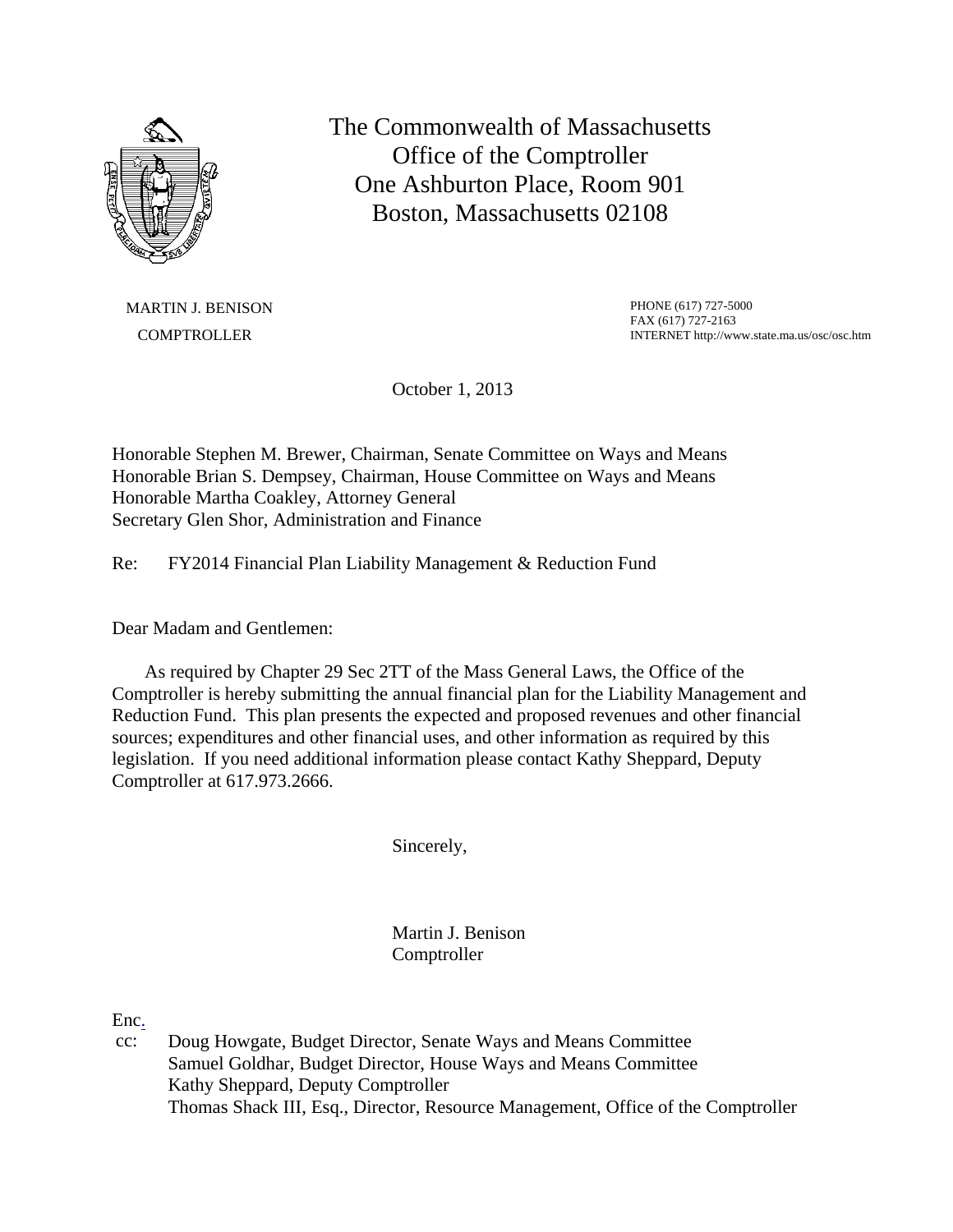

The Commonwealth of Massachusetts Office of the Comptroller One Ashburton Place, Room 901 Boston, Massachusetts 02108

MARTIN J. BENISON **COMPTROLLER** 

PHONE (617) 727-5000 FAX (617) 727-2163 INTERNET http://www.state.ma.us/osc/osc.htm

October 1, 2013

Honorable Stephen M. Brewer, Chairman, Senate Committee on Ways and Means Honorable Brian S. Dempsey, Chairman, House Committee on Ways and Means Honorable Martha Coakley, Attorney General Secretary Glen Shor, Administration and Finance

Re: FY2014 Financial Plan Liability Management & Reduction Fund

Dear Madam and Gentlemen:

 As required by Chapter 29 Sec 2TT of the Mass General Laws, the Office of the Comptroller is hereby submitting the annual financial plan for the Liability Management and Reduction Fund. This plan presents the expected and proposed revenues and other financial sources; expenditures and other financial uses, and other information as required by this legislation. If you need additional information please contact Kathy Sheppard, Deputy Comptroller at 617.973.2666.

Sincerely,

Martin J. Benison **Comptroller** 

Enc.

cc: Doug Howgate, Budget Director, Senate Ways and Means Committee Samuel Goldhar, Budget Director, House Ways and Means Committee Kathy Sheppard, Deputy Comptroller Thomas Shack III, Esq., Director, Resource Management, Office of the Comptroller